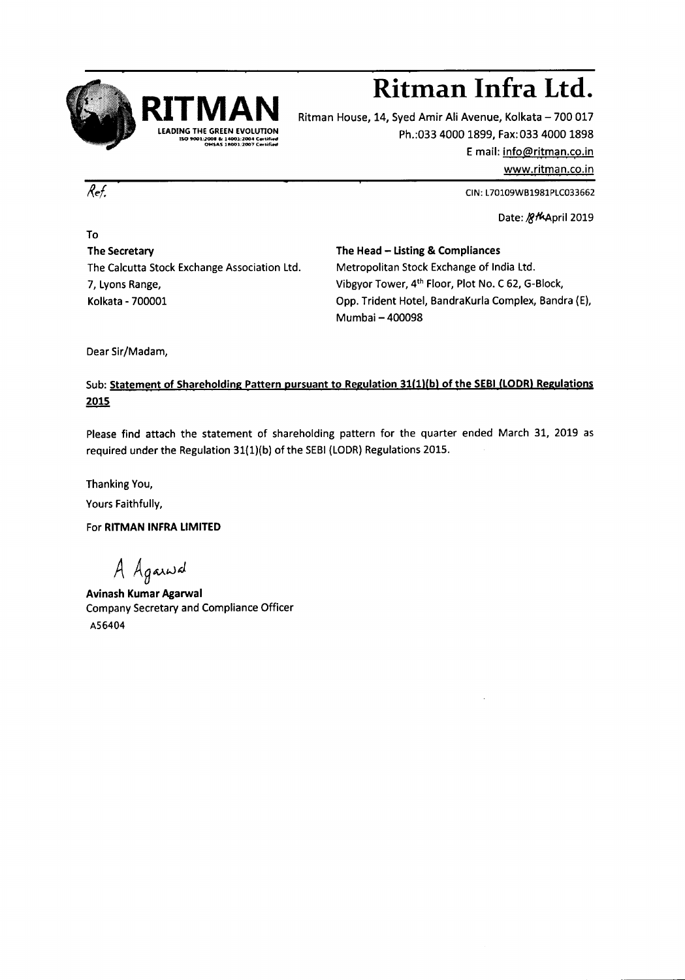

# **R1TMAN Ritman Infra Ltd.**

Ritman House, 14, Syed Amir Ali Avenue, Kolkata - 700 017 Ph.:033 4000 1899, Fax:0334000 1898 E mail: info@ritman.co.in

www.ritman.co.in

CIN:L70109VVB1981PLC033662

Date: /g/4April 2019

To The Secretary The Calcutta Stock Exchange Association Ltd. 7, Lyons Range, Kolkata - 700001

The Head - Listing & Compliances Metropolitan Stock Exchange of India Ltd. Vibgyor Tower, 4<sup>th</sup> Floor, Plot No. C 62, G-Block, Opp. Trident Hotel, BandraKurla Complex, Bandra (E), Mumbai - 400098

Dear Sir/Madam,

Sub: Statement of Shareholding Pattern pursuant to Regulation 31(1)(b) of the SEBI (LODR) Regulations 2015

Please find attach the statement of shareholding pattern for the quarter ended March 31, 2019 as required under the Regulation 31(1)(b) of the SEBI (LODR) Regulations 2015.

Thanking You,

Yours Faithfully,

For RITMAN INFRALIMITED

*A AgAA£J~*

Avinash Kumar Agarwal Company Secretary and Compliance Officer A56404

Ref.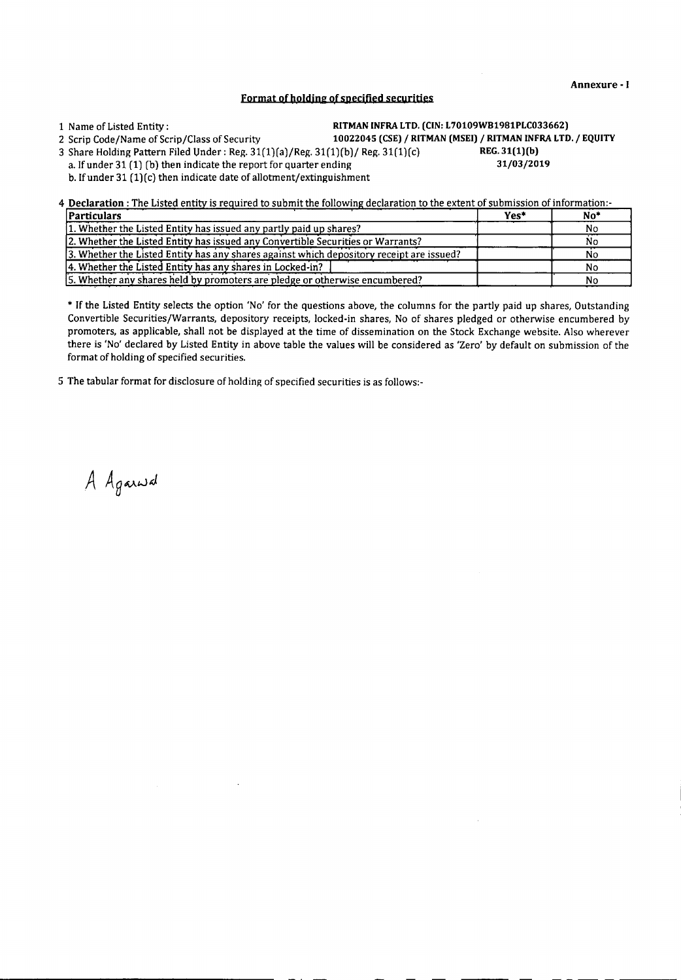- - -- - -----

# Format of holding of specified securities

1 Narne of Listed Entity: RITMANINFRA LTO. (CIN: L70109WB1981PLC033662)

2 Scrip Code/Name of Scrip/Class of Security 10022045 (CSE) / RITMAN (MSEI) / RITMAN INFRA LTD. / EQUITY

3 Share Holding Pattern Filed Under: Reg.  $31(1)(a)/$ Reg.  $31(1)(b)/$  Reg.  $31(1)(c)$ <br>**REG. 31(1)(b)** then indicate the report for quarter ending a lfunder 31 (1) (b) then indicate the report for quarter ending a. If under 31 (1) (b) then indicate the report for quarter ending

b. If under  $31 (1)(c)$  then indicate date of allotment/extinguishment

4 Declaration: The Listed entity is required to submit the following declaration to the extent of submission of information:

| <i><u><b>Particulars</b></u></i>                                                         | Yes* | No <sup>*</sup> |
|------------------------------------------------------------------------------------------|------|-----------------|
| 1. Whether the Listed Entity has issued any partly paid up shares?                       |      | No              |
| 2. Whether the Listed Entity has issued any Convertible Securities or Warrants?          |      | Nο              |
| 3. Whether the Listed Entity has any shares against which depository receipt are issued? |      |                 |
| 4. Whether the Listed Entity has any shares in Locked-in?                                |      | N٥              |
| 5. Whether any shares held by promoters are pledge or otherwise encumbered?              |      | N٥              |

\* If the Listed Entity selects the option 'No' for the questions above, the columns for the partly paid up shares, Outstanding Convertible Securities/Warrants, depository receipts, locked-in shares, No of shares pledged or otherwise encumbered by promoters, as applicable, shall not be displayed at the time of dissemination on the Stock Exchange website. Also wherever there is 'No' declared by Listed Entity in above table the values will be considered as 'Zero' by default on submission of the format of holding of specified securities.

5 The tabular format for disclosure of holding of specified securities is as follows:-

A Againsd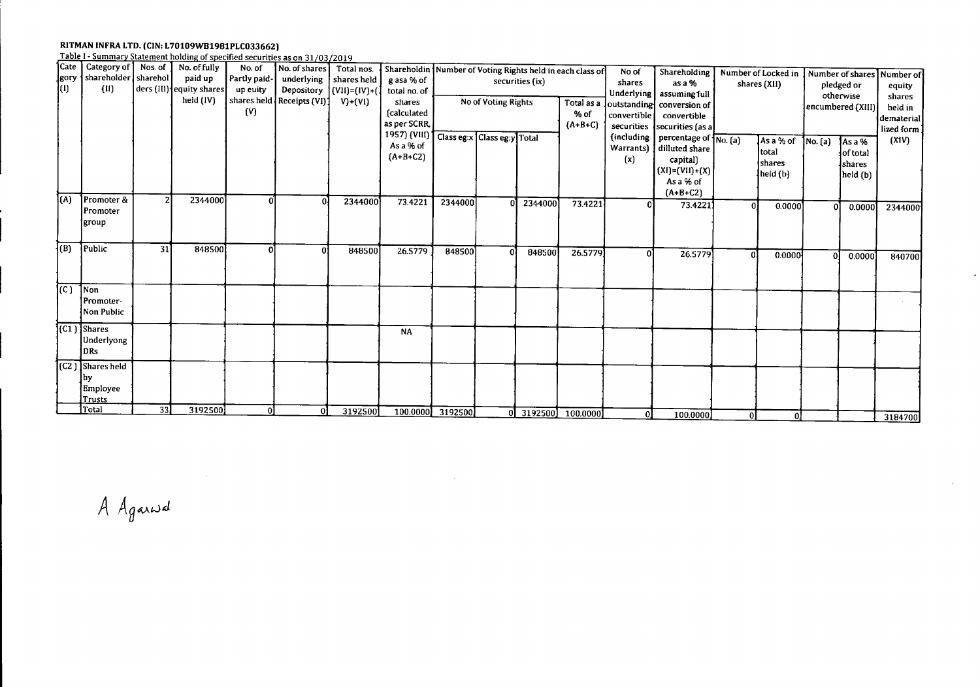### RITMAN INFRA LTD. (CIN: L70109WB1981PLC0336

Table 1- Summarv Statement holding of specified securities as on 31/03 2019

| ]Cate                         | Category of   Nos. of |    | No. of fully             | No. of       | No. of shares ]               | Total nos.              | Shareholdin Number of Voting Rights held in each class of |                  |                     |         |                      | No of       | Shareholding                                       |                                                                    |           |                         |           |             |
|-------------------------------|-----------------------|----|--------------------------|--------------|-------------------------------|-------------------------|-----------------------------------------------------------|------------------|---------------------|---------|----------------------|-------------|----------------------------------------------------|--------------------------------------------------------------------|-----------|-------------------------|-----------|-------------|
| Jgory                         | shareholder sharehol  |    | paid up                  | Partly paid- | underlying                    | shares held             | g asa % of                                                | securities (ix)  |                     |         |                      | shares      | as a %                                             | Number of Locked in   Number of shares   Number of<br>shares (XII) |           |                         |           |             |
| (1)                           | (III)                 |    | ders (III) equity shares | up euity     |                               | Depository (VII)=(IV)+( | total no. of                                              |                  |                     |         |                      |             | Underlying   assuming full                         |                                                                    |           | pledged or<br>otherwise |           | equity      |
|                               |                       |    | held (IV)                |              | shares held   Receipts (VI) ] | $V$ )+ $(VI)$           | shares                                                    |                  | No of Voting Rights |         | Total as a           |             | outstanding conversion of                          |                                                                    |           |                         |           | shares      |
|                               |                       |    |                          | (V)          |                               |                         | fcalculated                                               |                  |                     |         | % of                 | convertible | convertible                                        |                                                                    |           | encumbered (XIII)       |           | held in     |
|                               |                       |    |                          |              |                               |                         | as per SCRR.                                              |                  |                     |         | $(A+B+C)$            |             | securities {securities (as a]                      |                                                                    |           |                         |           | dematerial  |
|                               |                       |    |                          |              |                               |                         | 1957) (VIII) Class eg:x Class eg:y Total                  |                  |                     |         |                      |             | (including   percentage of $\sqrt{\text{No. (a)}}$ |                                                                    |           |                         |           | lized form! |
|                               |                       |    |                          |              |                               |                         | As a % of                                                 |                  |                     |         |                      | Warrants)   | dilluted share                                     |                                                                    | As a % of | No. (a)                 | As a %    | (XIV)       |
|                               |                       |    |                          |              |                               |                         | $(A + B + C2)$                                            |                  |                     |         |                      | (x)         | capital)                                           |                                                                    | total     |                         | lof total |             |
|                               |                       |    |                          |              |                               |                         |                                                           |                  |                     |         |                      |             | $(XI) = (VII) + (X)$                               |                                                                    | shares    |                         | shares    |             |
|                               |                       |    |                          |              |                               |                         |                                                           |                  |                     |         |                      |             | As a % of                                          |                                                                    | held (b)  |                         | held (b)  |             |
|                               |                       |    |                          |              |                               |                         |                                                           |                  |                     |         |                      |             | $(A+B+C2)$                                         |                                                                    |           |                         |           |             |
| $\overline{A}$                | Promoter &            |    | 2344000                  | $\Omega$     | Ωł                            | 2344000                 | 73.4221                                                   | 2344000          |                     | 2344000 | 73.4221              |             | 73.4221                                            | οl                                                                 | 0.0000    |                         |           |             |
|                               | Promoter              |    |                          |              |                               |                         |                                                           |                  |                     |         |                      |             |                                                    |                                                                    |           |                         | 0.0000]   | 2344000     |
|                               | igroup                |    |                          |              |                               |                         |                                                           |                  |                     |         |                      |             |                                                    |                                                                    |           |                         |           |             |
|                               |                       |    |                          |              |                               |                         |                                                           |                  |                     |         |                      |             |                                                    |                                                                    |           |                         |           |             |
| $\overline{\{(\mathsf{B})\}}$ | Public                | 31 | 848500                   | ΟI           | n1                            | 848500                  | 26.5779                                                   | 848500           |                     |         |                      |             |                                                    |                                                                    |           |                         |           |             |
|                               |                       |    |                          |              |                               |                         |                                                           |                  |                     | 848500  | 26.5779              | 01          | 26.5779                                            | οl                                                                 | 0.0000    | 0ł                      | 0.0000    | 840700      |
|                               |                       |    |                          |              |                               |                         |                                                           |                  |                     |         |                      |             |                                                    |                                                                    |           |                         |           |             |
|                               |                       |    |                          |              |                               |                         |                                                           |                  |                     |         |                      |             |                                                    |                                                                    |           |                         |           |             |
| $\overline{\textsf{IC}}$      | Non                   |    |                          |              |                               |                         |                                                           |                  |                     |         |                      |             |                                                    |                                                                    |           |                         |           |             |
|                               | 1Promoter-            |    |                          |              |                               |                         |                                                           |                  |                     |         |                      |             |                                                    |                                                                    |           |                         |           |             |
|                               | Non Public            |    |                          |              |                               |                         |                                                           |                  |                     |         |                      |             |                                                    |                                                                    |           |                         |           |             |
|                               | (C1 ) Shares          |    |                          |              |                               |                         | <b>NA</b>                                                 |                  |                     |         |                      |             |                                                    |                                                                    |           |                         |           |             |
|                               | Underlyong            |    |                          |              |                               |                         |                                                           |                  |                     |         |                      |             |                                                    |                                                                    |           |                         |           |             |
|                               | DRs                   |    |                          |              |                               |                         |                                                           |                  |                     |         |                      |             |                                                    |                                                                    |           |                         |           |             |
|                               | (C2) Shares held      |    |                          |              |                               |                         |                                                           |                  |                     |         |                      |             |                                                    |                                                                    |           |                         |           |             |
|                               |                       |    |                          |              |                               |                         |                                                           |                  |                     |         |                      |             |                                                    |                                                                    |           |                         |           |             |
|                               | lbv.                  |    |                          |              |                               |                         |                                                           |                  |                     |         |                      |             |                                                    |                                                                    |           |                         |           |             |
|                               | Employee<br>Trusts    |    |                          |              |                               |                         |                                                           |                  |                     |         |                      |             |                                                    |                                                                    |           |                         |           |             |
|                               | ¶Total                | 33 | 3192500                  | $\Omega$     | 0l                            |                         |                                                           |                  |                     |         |                      |             |                                                    |                                                                    |           |                         |           |             |
|                               |                       |    |                          |              |                               | 3192500                 |                                                           | 100.0000 3192500 |                     |         | $0$ 3192500 100.0000 |             | 100.0000                                           |                                                                    | 01        |                         |           | 3184700     |

 $\sim$ 

A Againd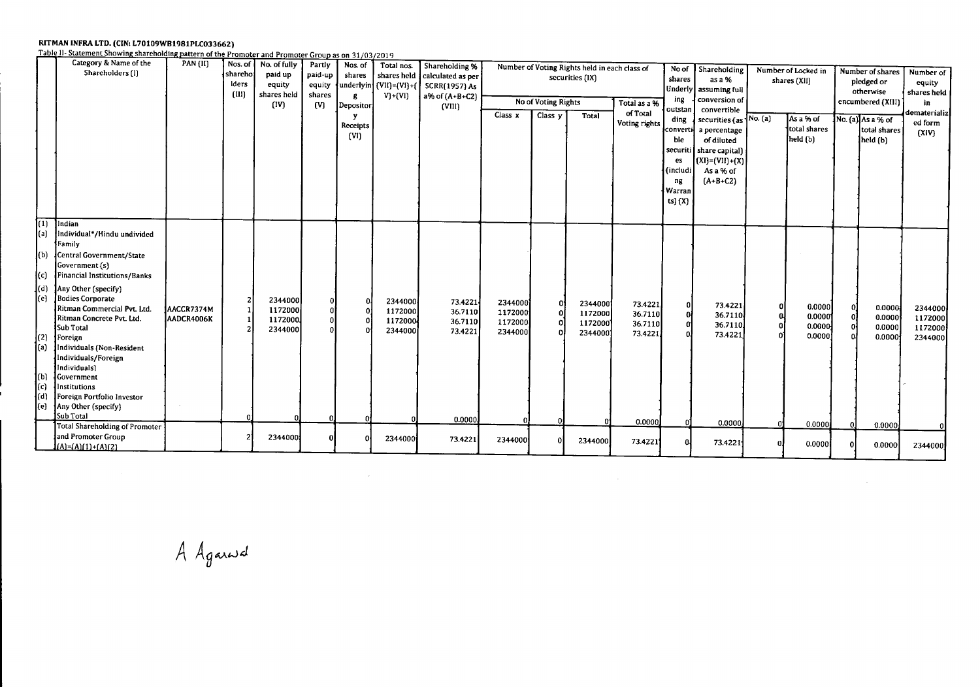RITMAN INFRA LTD. (CIN: L70109WB1981PLC033662)<br>Table II- Statement Showing shareholding pattern of the Promoter and Promoter Group as on 31/03/2019

|                                                                                                             | Category & Name of the<br>Shareholders (I)                                                                                                                                                                                                                                                                                                                                                                                                      | <b>PAN (II)</b>          | Nos. of<br>shareho<br>lders<br>(III) | No. of fully<br>paid up<br>equity<br>shares held<br>(IV) | Partly<br>paid-up<br>equity<br>shares<br>(V) | Nos. of<br>shares<br>$\mathbf{g}$<br>Depositor<br>v<br>Receipts<br>(VI) | Total nos.<br>shares held<br>$\left\{$ underlyin $\right\}$ (VII)=(VI}+(<br>$V_1 + (V_1)$ | Shareholding %<br>calculated as per<br><b>SCRR(1957) As</b><br>$a\%$ of $(A+B+C2)$<br>(VIII) | Class x                                              | No of Voting Rights<br>Class y | Number of Voting Rights held in each class of<br>securities (IX)<br>Total | Total as a %<br>of Total<br>Voting rights          | shares<br>ing<br>outstan<br>ding<br>converti<br>ble<br>es<br>(includi<br>ng<br>Warran<br>ts} (X) | No of Shareholding<br>as a %<br>Underly assuming full<br>conversion of<br>convertible<br>securities (as No. (a)<br>a percentage<br>of diluted<br>securiti   share capital)<br>$(x1)=(V11)+(x)$<br>As a % of<br>$(A+B+C2)$ |        | Number of Locked in<br>shares (XII)<br>As a % of<br>total shares<br>held (b) | Number of shares<br>pledged or<br>otherwise<br>encumbered (XIII)<br>No. $\{a\}$ As a % of<br>total shares<br>held (b) | Number of<br>equity<br>shares heid<br>in<br>iematerializ<br>ed form<br>(XIV) |
|-------------------------------------------------------------------------------------------------------------|-------------------------------------------------------------------------------------------------------------------------------------------------------------------------------------------------------------------------------------------------------------------------------------------------------------------------------------------------------------------------------------------------------------------------------------------------|--------------------------|--------------------------------------|----------------------------------------------------------|----------------------------------------------|-------------------------------------------------------------------------|-------------------------------------------------------------------------------------------|----------------------------------------------------------------------------------------------|------------------------------------------------------|--------------------------------|---------------------------------------------------------------------------|----------------------------------------------------|--------------------------------------------------------------------------------------------------|---------------------------------------------------------------------------------------------------------------------------------------------------------------------------------------------------------------------------|--------|------------------------------------------------------------------------------|-----------------------------------------------------------------------------------------------------------------------|------------------------------------------------------------------------------|
| $\overline{(1)}$<br>(a)<br>(b)<br>(c)<br>$\mathbf{I}$ (d)<br>(e)<br>(2)<br>(a)<br>1(b)<br>(c)<br>(d)<br>(e) | Indian<br>Individual*/Hindu undivided<br>Family<br>Central Government/State<br>Government (s)<br>Financial Institutions/Banks<br>Any Other (specify)<br><b>Bodies Corporate</b><br>Ritman Commercial Pvt. Ltd.<br>Ritman Concrete Pvt. Ltd.<br>Sub Total<br>Foreign<br>Individuals (Non-Resident<br>Individuals/Foreign<br>Individuals)<br><b>{Government</b><br>Institutions<br>Foreign Portfolio Investor<br>Any Other (specify)<br>Sub Total | AACCR7374M<br>AADCR4006K |                                      | 2344000<br>1172000<br>1172000<br>2344000                 |                                              |                                                                         | 2344000<br>1172000<br>1172000<br>2344000                                                  | 73.4221<br>36.7110<br>36.7110<br>73.4221<br>0.0000                                           | 2344000<br>1172000<br>1172000<br>2344000<br>$\Omega$ | οÍ                             | 2344000<br>1172000<br>1172000<br>2344000                                  | 73.4221<br>36.7110<br>36.7110<br>73.4221<br>0.0000 | 0<br>0                                                                                           | 73.4221<br>36.7110<br>36.7110.<br>73.4221<br>0.0000                                                                                                                                                                       | 0<br>പ | 0.0000<br>0.0000<br>0.0000<br>0.0000<br>0.0000                               | 0.0000<br>0.0000<br>0.0000<br>0.0000                                                                                  | 2344000<br>1172000<br>1172000<br>2344000                                     |
|                                                                                                             | <b>Total Shareholding of Promoter</b><br>and Promoter Group<br>$(A) = (A)(1) + (A)(2)$                                                                                                                                                                                                                                                                                                                                                          |                          |                                      | 2344000                                                  |                                              |                                                                         | 2344000                                                                                   | 73.4221                                                                                      | 2344000                                              |                                | 2344000                                                                   | 73.4221                                            |                                                                                                  | 73.4221                                                                                                                                                                                                                   |        | 0.0000                                                                       | 0.0000<br>0.0000                                                                                                      | 2344000                                                                      |

 $\mathcal{A}(\mathcal{A})$  and  $\mathcal{A}(\mathcal{A})$  and  $\mathcal{A}(\mathcal{A})$ 

 $\mathcal{L}^{\mathcal{L}}(\mathcal{L}^{\mathcal{L}}(\mathcal{L}^{\mathcal{L}}(\mathcal{L}^{\mathcal{L}}(\mathcal{L}^{\mathcal{L}}(\mathcal{L}^{\mathcal{L}}(\mathcal{L}^{\mathcal{L}}(\mathcal{L}^{\mathcal{L}}(\mathcal{L}^{\mathcal{L}}(\mathcal{L}^{\mathcal{L}}(\mathcal{L}^{\mathcal{L}}(\mathcal{L}^{\mathcal{L}}(\mathcal{L}^{\mathcal{L}}(\mathcal{L}^{\mathcal{L}}(\mathcal{L}^{\mathcal{L}}(\mathcal{L}^{\mathcal{L}}(\mathcal{L}^{\mathcal{L$ 

A Againsd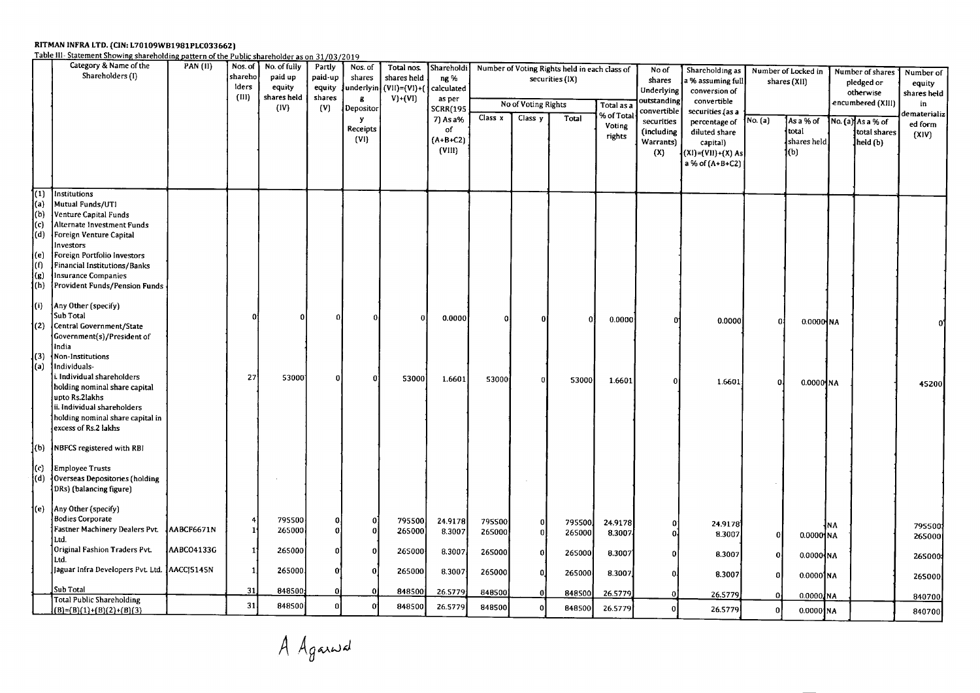### RITMAN INFRA LTD. (CIN: L70109WB1981PLC03

Table III-Statement Showing shareholding pattern of the Public shareholder as on 31/03/20

| securities (IX)<br>shares<br>a % assuming full<br>shares (XII)<br>pledged or<br>lders<br>(VII)=(VI)+(<br>equity<br>equity<br>underlyin<br>calculated<br>Underlying<br>conversion of<br>otherwise<br>(III)<br>shares held<br>shares<br>$V)+(VI)$<br>g<br>as per<br>outstanding<br>convertible<br>encumbered (XIII)<br>No of Voting Rights<br>Total as a<br>in<br>(IV)<br>(V)<br>Depositor<br><b>SCRR(195</b><br>convertible<br>securities (as a<br>% of Tota<br>Class x<br>Class y<br>Total<br>7) As a%<br>y.<br>No. (a)<br>As a % of<br>No. (a) As a % of<br>securities<br>percentage of<br>Voting<br>Receipts<br>of<br>total<br>(including<br>diluted share<br>total shares<br>(XIV)<br>rights<br>(VI)<br>$(A+B+C2)$<br>Warrants)<br>shares held<br>held (b)<br>capital)<br>(VIII)<br>(X)<br>(XI)=(VII)+(X) As<br>(b)<br>a % of (A+B+C2)<br>何<br>Institutions<br>(a)<br>Mutual Funds/UTI<br>(b)<br>Venture Capital Funds<br>(c)<br>Alternate Investment Funds<br>(d)<br>Foreign Venture Capital<br>Investors<br>(e)<br>Foreign Portfolio Investors<br>(f)<br>Financial Institutions/Banks<br>(g)<br>Insurance Companies<br>(h)<br><b>Provident Funds/Pension Funds</b><br>[(i)<br>Any Other (specify)<br>Sub Total<br>0.0000<br>0.0000<br>0.0000<br>Ω<br>$0.0000$ NA<br>Central Government/State<br>(2)<br>Government(s)/President of<br>India<br>(3)<br>Non-Institutions<br>Individuals-<br>(a)<br>i. Individual shareholders<br>27<br>53000<br>53000<br>n<br>1.6601<br>53000<br>53000<br>$\Omega$<br>1.6601<br>-Oi<br>1.6601<br>$\Omega$<br>$0.0000$ NA<br>holding nominal share capital<br>upto Rs.2lakhs<br>ii. Individual shareholders<br>holding nominal share capital in<br>excess of Rs.2 lakhs<br><b>INBFCS</b> registered with RBI<br>l(b)<br>(c)<br><b>Employee Trusts</b><br>(d)<br>Overseas Depositories (holding<br>DRs) (balancing figure)<br>Any Other (specify)<br>1(e)<br><b>Bodies Corporate</b><br>795500<br>795500<br>24.9178<br>Ω<br>795500<br>795500<br>24.9178<br>0<br>0<br>24.9178<br>¦NA<br>795500<br>Fastner Machinery Dealers Pvt. AABCF6671N<br>265000<br>11<br>265000<br>8.3007<br>265000<br>n<br>265000<br>$\mathbf{0}$<br>8.3007<br>8.3007<br>$\mathbf{0}$<br>$0.0000$ NA<br>Ltd.<br>Original Fashion Traders Pvt.<br>AABCO4133G<br>265000<br>11<br>265000<br>n<br>8.3007<br>265000<br>265000<br>8.3007<br>8.3007<br>0<br>$0.0000$ NA<br>Ltd.<br>Jaguar Infra Developers Pvt. Ltd. AACCJ5145N<br>265000<br>1<br>265000<br>8.3007<br>265000<br>265000<br>8.3007<br>0.<br>8.3007<br>$0.0000$ NA | Category & Name of the<br>Shareholders (I) | <b>PAN (II)</b> | Nos. of | No. of fully | Partly  | Nos. of | Total nos.  | Shareholdi |        | Number of Voting Rights held in each class of |        |         | No of | Shareholding as | Number of Locked in |  | Number of shares |  | Number of        |  |
|--------------------------------------------------------------------------------------------------------------------------------------------------------------------------------------------------------------------------------------------------------------------------------------------------------------------------------------------------------------------------------------------------------------------------------------------------------------------------------------------------------------------------------------------------------------------------------------------------------------------------------------------------------------------------------------------------------------------------------------------------------------------------------------------------------------------------------------------------------------------------------------------------------------------------------------------------------------------------------------------------------------------------------------------------------------------------------------------------------------------------------------------------------------------------------------------------------------------------------------------------------------------------------------------------------------------------------------------------------------------------------------------------------------------------------------------------------------------------------------------------------------------------------------------------------------------------------------------------------------------------------------------------------------------------------------------------------------------------------------------------------------------------------------------------------------------------------------------------------------------------------------------------------------------------------------------------------------------------------------------------------------------------------------------------------------------------------------------------------------------------------------------------------------------------------------------------------------------------------------------------------------------------------------------------------------------------------------------------------------------------------------------------------------------------------------------------------------------------------------------------------------------------------|--------------------------------------------|-----------------|---------|--------------|---------|---------|-------------|------------|--------|-----------------------------------------------|--------|---------|-------|-----------------|---------------------|--|------------------|--|------------------|--|
|                                                                                                                                                                                                                                                                                                                                                                                                                                                                                                                                                                                                                                                                                                                                                                                                                                                                                                                                                                                                                                                                                                                                                                                                                                                                                                                                                                                                                                                                                                                                                                                                                                                                                                                                                                                                                                                                                                                                                                                                                                                                                                                                                                                                                                                                                                                                                                                                                                                                                                                                |                                            |                 | shareho | paid up      | paid-up | shares  | shares held | ng %       |        |                                               |        |         |       |                 |                     |  |                  |  | equity           |  |
|                                                                                                                                                                                                                                                                                                                                                                                                                                                                                                                                                                                                                                                                                                                                                                                                                                                                                                                                                                                                                                                                                                                                                                                                                                                                                                                                                                                                                                                                                                                                                                                                                                                                                                                                                                                                                                                                                                                                                                                                                                                                                                                                                                                                                                                                                                                                                                                                                                                                                                                                |                                            |                 |         |              |         |         |             |            |        |                                               |        |         |       |                 |                     |  |                  |  | shares held      |  |
|                                                                                                                                                                                                                                                                                                                                                                                                                                                                                                                                                                                                                                                                                                                                                                                                                                                                                                                                                                                                                                                                                                                                                                                                                                                                                                                                                                                                                                                                                                                                                                                                                                                                                                                                                                                                                                                                                                                                                                                                                                                                                                                                                                                                                                                                                                                                                                                                                                                                                                                                |                                            |                 |         |              |         |         |             |            |        |                                               |        |         |       |                 |                     |  |                  |  | dematerializ     |  |
|                                                                                                                                                                                                                                                                                                                                                                                                                                                                                                                                                                                                                                                                                                                                                                                                                                                                                                                                                                                                                                                                                                                                                                                                                                                                                                                                                                                                                                                                                                                                                                                                                                                                                                                                                                                                                                                                                                                                                                                                                                                                                                                                                                                                                                                                                                                                                                                                                                                                                                                                |                                            |                 |         |              |         |         |             |            |        |                                               |        |         |       |                 |                     |  |                  |  | ed form          |  |
|                                                                                                                                                                                                                                                                                                                                                                                                                                                                                                                                                                                                                                                                                                                                                                                                                                                                                                                                                                                                                                                                                                                                                                                                                                                                                                                                                                                                                                                                                                                                                                                                                                                                                                                                                                                                                                                                                                                                                                                                                                                                                                                                                                                                                                                                                                                                                                                                                                                                                                                                |                                            |                 |         |              |         |         |             |            |        |                                               |        |         |       |                 |                     |  |                  |  |                  |  |
|                                                                                                                                                                                                                                                                                                                                                                                                                                                                                                                                                                                                                                                                                                                                                                                                                                                                                                                                                                                                                                                                                                                                                                                                                                                                                                                                                                                                                                                                                                                                                                                                                                                                                                                                                                                                                                                                                                                                                                                                                                                                                                                                                                                                                                                                                                                                                                                                                                                                                                                                |                                            |                 |         |              |         |         |             |            |        |                                               |        |         |       |                 |                     |  |                  |  |                  |  |
|                                                                                                                                                                                                                                                                                                                                                                                                                                                                                                                                                                                                                                                                                                                                                                                                                                                                                                                                                                                                                                                                                                                                                                                                                                                                                                                                                                                                                                                                                                                                                                                                                                                                                                                                                                                                                                                                                                                                                                                                                                                                                                                                                                                                                                                                                                                                                                                                                                                                                                                                |                                            |                 |         |              |         |         |             |            |        |                                               |        |         |       |                 |                     |  |                  |  |                  |  |
|                                                                                                                                                                                                                                                                                                                                                                                                                                                                                                                                                                                                                                                                                                                                                                                                                                                                                                                                                                                                                                                                                                                                                                                                                                                                                                                                                                                                                                                                                                                                                                                                                                                                                                                                                                                                                                                                                                                                                                                                                                                                                                                                                                                                                                                                                                                                                                                                                                                                                                                                |                                            |                 |         |              |         |         |             |            |        |                                               |        |         |       |                 |                     |  |                  |  |                  |  |
|                                                                                                                                                                                                                                                                                                                                                                                                                                                                                                                                                                                                                                                                                                                                                                                                                                                                                                                                                                                                                                                                                                                                                                                                                                                                                                                                                                                                                                                                                                                                                                                                                                                                                                                                                                                                                                                                                                                                                                                                                                                                                                                                                                                                                                                                                                                                                                                                                                                                                                                                |                                            |                 |         |              |         |         |             |            |        |                                               |        |         |       |                 |                     |  |                  |  |                  |  |
|                                                                                                                                                                                                                                                                                                                                                                                                                                                                                                                                                                                                                                                                                                                                                                                                                                                                                                                                                                                                                                                                                                                                                                                                                                                                                                                                                                                                                                                                                                                                                                                                                                                                                                                                                                                                                                                                                                                                                                                                                                                                                                                                                                                                                                                                                                                                                                                                                                                                                                                                |                                            |                 |         |              |         |         |             |            |        |                                               |        |         |       |                 |                     |  |                  |  |                  |  |
|                                                                                                                                                                                                                                                                                                                                                                                                                                                                                                                                                                                                                                                                                                                                                                                                                                                                                                                                                                                                                                                                                                                                                                                                                                                                                                                                                                                                                                                                                                                                                                                                                                                                                                                                                                                                                                                                                                                                                                                                                                                                                                                                                                                                                                                                                                                                                                                                                                                                                                                                |                                            |                 |         |              |         |         |             |            |        |                                               |        |         |       |                 |                     |  |                  |  |                  |  |
|                                                                                                                                                                                                                                                                                                                                                                                                                                                                                                                                                                                                                                                                                                                                                                                                                                                                                                                                                                                                                                                                                                                                                                                                                                                                                                                                                                                                                                                                                                                                                                                                                                                                                                                                                                                                                                                                                                                                                                                                                                                                                                                                                                                                                                                                                                                                                                                                                                                                                                                                |                                            |                 |         |              |         |         |             |            |        |                                               |        |         |       |                 |                     |  |                  |  |                  |  |
|                                                                                                                                                                                                                                                                                                                                                                                                                                                                                                                                                                                                                                                                                                                                                                                                                                                                                                                                                                                                                                                                                                                                                                                                                                                                                                                                                                                                                                                                                                                                                                                                                                                                                                                                                                                                                                                                                                                                                                                                                                                                                                                                                                                                                                                                                                                                                                                                                                                                                                                                |                                            |                 |         |              |         |         |             |            |        |                                               |        |         |       |                 |                     |  |                  |  |                  |  |
|                                                                                                                                                                                                                                                                                                                                                                                                                                                                                                                                                                                                                                                                                                                                                                                                                                                                                                                                                                                                                                                                                                                                                                                                                                                                                                                                                                                                                                                                                                                                                                                                                                                                                                                                                                                                                                                                                                                                                                                                                                                                                                                                                                                                                                                                                                                                                                                                                                                                                                                                |                                            |                 |         |              |         |         |             |            |        |                                               |        |         |       |                 |                     |  |                  |  |                  |  |
|                                                                                                                                                                                                                                                                                                                                                                                                                                                                                                                                                                                                                                                                                                                                                                                                                                                                                                                                                                                                                                                                                                                                                                                                                                                                                                                                                                                                                                                                                                                                                                                                                                                                                                                                                                                                                                                                                                                                                                                                                                                                                                                                                                                                                                                                                                                                                                                                                                                                                                                                |                                            |                 |         |              |         |         |             |            |        |                                               |        |         |       |                 |                     |  |                  |  |                  |  |
|                                                                                                                                                                                                                                                                                                                                                                                                                                                                                                                                                                                                                                                                                                                                                                                                                                                                                                                                                                                                                                                                                                                                                                                                                                                                                                                                                                                                                                                                                                                                                                                                                                                                                                                                                                                                                                                                                                                                                                                                                                                                                                                                                                                                                                                                                                                                                                                                                                                                                                                                |                                            |                 |         |              |         |         |             |            |        |                                               |        |         |       |                 |                     |  |                  |  |                  |  |
|                                                                                                                                                                                                                                                                                                                                                                                                                                                                                                                                                                                                                                                                                                                                                                                                                                                                                                                                                                                                                                                                                                                                                                                                                                                                                                                                                                                                                                                                                                                                                                                                                                                                                                                                                                                                                                                                                                                                                                                                                                                                                                                                                                                                                                                                                                                                                                                                                                                                                                                                |                                            |                 |         |              |         |         |             |            |        |                                               |        |         |       |                 |                     |  |                  |  |                  |  |
|                                                                                                                                                                                                                                                                                                                                                                                                                                                                                                                                                                                                                                                                                                                                                                                                                                                                                                                                                                                                                                                                                                                                                                                                                                                                                                                                                                                                                                                                                                                                                                                                                                                                                                                                                                                                                                                                                                                                                                                                                                                                                                                                                                                                                                                                                                                                                                                                                                                                                                                                |                                            |                 |         |              |         |         |             |            |        |                                               |        |         |       |                 |                     |  |                  |  |                  |  |
|                                                                                                                                                                                                                                                                                                                                                                                                                                                                                                                                                                                                                                                                                                                                                                                                                                                                                                                                                                                                                                                                                                                                                                                                                                                                                                                                                                                                                                                                                                                                                                                                                                                                                                                                                                                                                                                                                                                                                                                                                                                                                                                                                                                                                                                                                                                                                                                                                                                                                                                                |                                            |                 |         |              |         |         |             |            |        |                                               |        |         |       |                 |                     |  |                  |  |                  |  |
|                                                                                                                                                                                                                                                                                                                                                                                                                                                                                                                                                                                                                                                                                                                                                                                                                                                                                                                                                                                                                                                                                                                                                                                                                                                                                                                                                                                                                                                                                                                                                                                                                                                                                                                                                                                                                                                                                                                                                                                                                                                                                                                                                                                                                                                                                                                                                                                                                                                                                                                                |                                            |                 |         |              |         |         |             |            |        |                                               |        |         |       |                 |                     |  |                  |  |                  |  |
|                                                                                                                                                                                                                                                                                                                                                                                                                                                                                                                                                                                                                                                                                                                                                                                                                                                                                                                                                                                                                                                                                                                                                                                                                                                                                                                                                                                                                                                                                                                                                                                                                                                                                                                                                                                                                                                                                                                                                                                                                                                                                                                                                                                                                                                                                                                                                                                                                                                                                                                                |                                            |                 |         |              |         |         |             |            |        |                                               |        |         |       |                 |                     |  |                  |  |                  |  |
|                                                                                                                                                                                                                                                                                                                                                                                                                                                                                                                                                                                                                                                                                                                                                                                                                                                                                                                                                                                                                                                                                                                                                                                                                                                                                                                                                                                                                                                                                                                                                                                                                                                                                                                                                                                                                                                                                                                                                                                                                                                                                                                                                                                                                                                                                                                                                                                                                                                                                                                                |                                            |                 |         |              |         |         |             |            |        |                                               |        |         |       |                 |                     |  |                  |  |                  |  |
|                                                                                                                                                                                                                                                                                                                                                                                                                                                                                                                                                                                                                                                                                                                                                                                                                                                                                                                                                                                                                                                                                                                                                                                                                                                                                                                                                                                                                                                                                                                                                                                                                                                                                                                                                                                                                                                                                                                                                                                                                                                                                                                                                                                                                                                                                                                                                                                                                                                                                                                                |                                            |                 |         |              |         |         |             |            |        |                                               |        |         |       |                 |                     |  |                  |  | 45200            |  |
|                                                                                                                                                                                                                                                                                                                                                                                                                                                                                                                                                                                                                                                                                                                                                                                                                                                                                                                                                                                                                                                                                                                                                                                                                                                                                                                                                                                                                                                                                                                                                                                                                                                                                                                                                                                                                                                                                                                                                                                                                                                                                                                                                                                                                                                                                                                                                                                                                                                                                                                                |                                            |                 |         |              |         |         |             |            |        |                                               |        |         |       |                 |                     |  |                  |  |                  |  |
|                                                                                                                                                                                                                                                                                                                                                                                                                                                                                                                                                                                                                                                                                                                                                                                                                                                                                                                                                                                                                                                                                                                                                                                                                                                                                                                                                                                                                                                                                                                                                                                                                                                                                                                                                                                                                                                                                                                                                                                                                                                                                                                                                                                                                                                                                                                                                                                                                                                                                                                                |                                            |                 |         |              |         |         |             |            |        |                                               |        |         |       |                 |                     |  |                  |  |                  |  |
|                                                                                                                                                                                                                                                                                                                                                                                                                                                                                                                                                                                                                                                                                                                                                                                                                                                                                                                                                                                                                                                                                                                                                                                                                                                                                                                                                                                                                                                                                                                                                                                                                                                                                                                                                                                                                                                                                                                                                                                                                                                                                                                                                                                                                                                                                                                                                                                                                                                                                                                                |                                            |                 |         |              |         |         |             |            |        |                                               |        |         |       |                 |                     |  |                  |  |                  |  |
|                                                                                                                                                                                                                                                                                                                                                                                                                                                                                                                                                                                                                                                                                                                                                                                                                                                                                                                                                                                                                                                                                                                                                                                                                                                                                                                                                                                                                                                                                                                                                                                                                                                                                                                                                                                                                                                                                                                                                                                                                                                                                                                                                                                                                                                                                                                                                                                                                                                                                                                                |                                            |                 |         |              |         |         |             |            |        |                                               |        |         |       |                 |                     |  |                  |  |                  |  |
|                                                                                                                                                                                                                                                                                                                                                                                                                                                                                                                                                                                                                                                                                                                                                                                                                                                                                                                                                                                                                                                                                                                                                                                                                                                                                                                                                                                                                                                                                                                                                                                                                                                                                                                                                                                                                                                                                                                                                                                                                                                                                                                                                                                                                                                                                                                                                                                                                                                                                                                                |                                            |                 |         |              |         |         |             |            |        |                                               |        |         |       |                 |                     |  |                  |  |                  |  |
|                                                                                                                                                                                                                                                                                                                                                                                                                                                                                                                                                                                                                                                                                                                                                                                                                                                                                                                                                                                                                                                                                                                                                                                                                                                                                                                                                                                                                                                                                                                                                                                                                                                                                                                                                                                                                                                                                                                                                                                                                                                                                                                                                                                                                                                                                                                                                                                                                                                                                                                                |                                            |                 |         |              |         |         |             |            |        |                                               |        |         |       |                 |                     |  |                  |  |                  |  |
|                                                                                                                                                                                                                                                                                                                                                                                                                                                                                                                                                                                                                                                                                                                                                                                                                                                                                                                                                                                                                                                                                                                                                                                                                                                                                                                                                                                                                                                                                                                                                                                                                                                                                                                                                                                                                                                                                                                                                                                                                                                                                                                                                                                                                                                                                                                                                                                                                                                                                                                                |                                            |                 |         |              |         |         |             |            |        |                                               |        |         |       |                 |                     |  |                  |  |                  |  |
|                                                                                                                                                                                                                                                                                                                                                                                                                                                                                                                                                                                                                                                                                                                                                                                                                                                                                                                                                                                                                                                                                                                                                                                                                                                                                                                                                                                                                                                                                                                                                                                                                                                                                                                                                                                                                                                                                                                                                                                                                                                                                                                                                                                                                                                                                                                                                                                                                                                                                                                                |                                            |                 |         |              |         |         |             |            |        |                                               |        |         |       |                 |                     |  |                  |  |                  |  |
|                                                                                                                                                                                                                                                                                                                                                                                                                                                                                                                                                                                                                                                                                                                                                                                                                                                                                                                                                                                                                                                                                                                                                                                                                                                                                                                                                                                                                                                                                                                                                                                                                                                                                                                                                                                                                                                                                                                                                                                                                                                                                                                                                                                                                                                                                                                                                                                                                                                                                                                                |                                            |                 |         |              |         |         |             |            |        |                                               |        |         |       |                 |                     |  |                  |  |                  |  |
|                                                                                                                                                                                                                                                                                                                                                                                                                                                                                                                                                                                                                                                                                                                                                                                                                                                                                                                                                                                                                                                                                                                                                                                                                                                                                                                                                                                                                                                                                                                                                                                                                                                                                                                                                                                                                                                                                                                                                                                                                                                                                                                                                                                                                                                                                                                                                                                                                                                                                                                                |                                            |                 |         |              |         |         |             |            |        |                                               |        |         |       |                 |                     |  |                  |  |                  |  |
|                                                                                                                                                                                                                                                                                                                                                                                                                                                                                                                                                                                                                                                                                                                                                                                                                                                                                                                                                                                                                                                                                                                                                                                                                                                                                                                                                                                                                                                                                                                                                                                                                                                                                                                                                                                                                                                                                                                                                                                                                                                                                                                                                                                                                                                                                                                                                                                                                                                                                                                                |                                            |                 |         |              |         |         |             |            |        |                                               |        |         |       |                 |                     |  |                  |  | 265000           |  |
|                                                                                                                                                                                                                                                                                                                                                                                                                                                                                                                                                                                                                                                                                                                                                                                                                                                                                                                                                                                                                                                                                                                                                                                                                                                                                                                                                                                                                                                                                                                                                                                                                                                                                                                                                                                                                                                                                                                                                                                                                                                                                                                                                                                                                                                                                                                                                                                                                                                                                                                                |                                            |                 |         |              |         |         |             |            |        |                                               |        |         |       |                 |                     |  |                  |  |                  |  |
|                                                                                                                                                                                                                                                                                                                                                                                                                                                                                                                                                                                                                                                                                                                                                                                                                                                                                                                                                                                                                                                                                                                                                                                                                                                                                                                                                                                                                                                                                                                                                                                                                                                                                                                                                                                                                                                                                                                                                                                                                                                                                                                                                                                                                                                                                                                                                                                                                                                                                                                                |                                            |                 |         |              |         |         |             |            |        |                                               |        |         |       |                 |                     |  |                  |  | 265000           |  |
|                                                                                                                                                                                                                                                                                                                                                                                                                                                                                                                                                                                                                                                                                                                                                                                                                                                                                                                                                                                                                                                                                                                                                                                                                                                                                                                                                                                                                                                                                                                                                                                                                                                                                                                                                                                                                                                                                                                                                                                                                                                                                                                                                                                                                                                                                                                                                                                                                                                                                                                                |                                            |                 |         |              |         |         |             |            |        |                                               |        |         |       |                 |                     |  |                  |  | 265000           |  |
| 26.5779<br>0<br>$0.0000$ NA                                                                                                                                                                                                                                                                                                                                                                                                                                                                                                                                                                                                                                                                                                                                                                                                                                                                                                                                                                                                                                                                                                                                                                                                                                                                                                                                                                                                                                                                                                                                                                                                                                                                                                                                                                                                                                                                                                                                                                                                                                                                                                                                                                                                                                                                                                                                                                                                                                                                                                    | Sub Total                                  |                 | 31      | 848500       |         |         | 848500      | 26.5779    | 848500 |                                               | 848500 | 26.5779 |       |                 |                     |  |                  |  |                  |  |
| <b>Total Public Shareholding</b><br>31<br>848500<br>848500<br>26.5779<br>848500<br>848500<br>26.5779<br>$\mathbf{0}$<br>26.5779<br>$(B)=(B)(1)+(B)(2)+(B)(3)$<br>$0.0000$ NA                                                                                                                                                                                                                                                                                                                                                                                                                                                                                                                                                                                                                                                                                                                                                                                                                                                                                                                                                                                                                                                                                                                                                                                                                                                                                                                                                                                                                                                                                                                                                                                                                                                                                                                                                                                                                                                                                                                                                                                                                                                                                                                                                                                                                                                                                                                                                   |                                            |                 |         |              |         |         |             |            |        |                                               |        |         |       |                 |                     |  |                  |  | 840700<br>840700 |  |

A Againsd